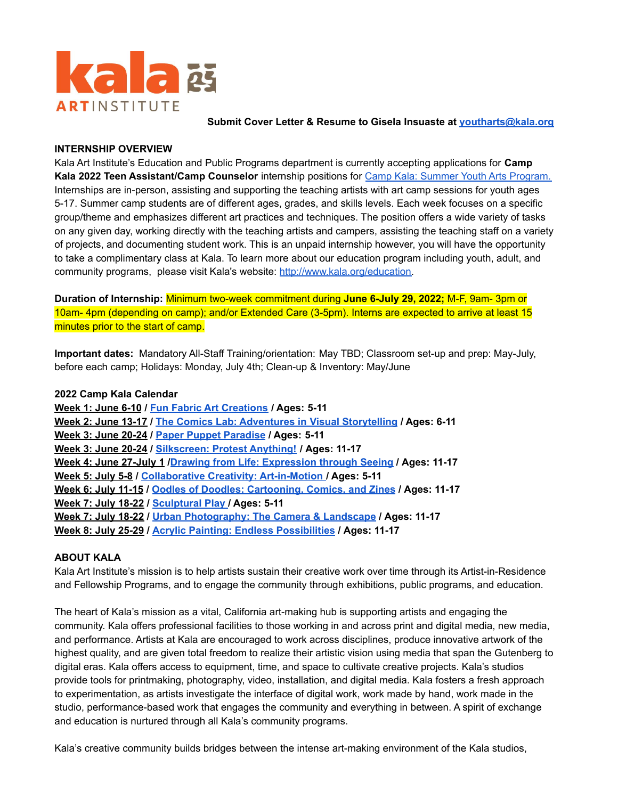

**Submit Cover Letter & Resume to Gisela Insuaste at [youtharts@kala.org](mailto:youtharts@kala.org)**

### **INTERNSHIP OVERVIEW**

Kala Art Institute's Education and Public Programs department is currently accepting applications for **Camp Kala 2022 Teen Assistant/Camp Counselor** internship positions for Camp Kala: Summer Youth Arts [Program.](http://www.kala.org/education/camp-kala/) Internships are in-person, assisting and supporting the teaching artists with art camp sessions for youth ages 5-17. Summer camp students are of different ages, grades, and skills levels. Each week focuses on a specific group/theme and emphasizes different art practices and techniques. The position offers a wide variety of tasks on any given day, working directly with the teaching artists and campers, assisting the teaching staff on a variety of projects, and documenting student work. This is an unpaid internship however, you will have the opportunity to take a complimentary class at Kala. To learn more about our education program including youth, adult, and community programs, please visit Kala's website: [http://www.kala.org/education.](http://www.kala.org/education/)

**Duration of Internship:** Minimum two-week commitment during **June 6-July 29, 2022;** M-F, 9am- 3pm or 10am- 4pm (depending on camp); and/or Extended Care (3-5pm). Interns are expected to arrive at least 15 minutes prior to the start of camp.

**Important dates:** Mandatory All-Staff Training/orientation: May TBD; Classroom set-up and prep: May-July, before each camp; Holidays: Monday, July 4th; Clean-up & Inventory: May/June

#### **2022 Camp Kala Calendar**

**Week 1: June 6-10 / Fun Fabric Art [Creations](http://www.kala.org/class/camp-kala-fun-fabric-art-creations-ages-5-11/) / Ages: 5-11 Week 2: June 13-17 / The Comics Lab: [Adventures](http://www.kala.org/class/camp-kala-the-comics-lab-adventures-in-visual-storytelling-ages-5-11/) in Visual Storytelling / Ages: 6-11 Week 3: June 20-24 / Paper Puppet [Paradise](http://www.kala.org/class/camp-kala-in-paper-puppet-paradise-ages-5-11/) / Ages: 5-11 Week 3: June 20-24 / [Silkscreen:](http://www.kala.org/class/camp-kala-silkscreen-protest-anything-ages-11-17/) Protest Anything! / Ages: 11-17 Week 4: June 27-July 1 /Drawing from Life: [Expression](http://www.kala.org/class/camp-kala-drawing-from-life-expression-through-seeing-ages-11-17/) through Seeing / Ages: 11-17 Week 5: July 5-8 / [Collaborative](http://www.kala.org/class/camp-kala-collaborative-creativity-art-in-motion-ages-5-11/) Creativity: Art-in-Motion / Ages: 5-11 Week 6: July 11-15 / Oodles of Doodles: [Cartooning,](http://www.kala.org/class/camp-kala-oodles-of-doodles-cartooning-comics-and-zines-ages-11-17/) Comics, and Zines / Ages: 11-17 Week 7: July 18-22 / [Sculptural](http://www.kala.org/class/camp-kala-sculptural-play-ages-5-11/) Play / Ages: 5-11 Week 7: July 18-22 / Urban [Photography:](http://www.kala.org/class/camp-kala-urban-photography-the-camera-landscape-ages-11-17/) The Camera & Landscape / Ages: 11-17 Week 8: July 25-29 / Acrylic Painting: Endless [Possibilities](http://www.kala.org/class/camp-kala-acrylic-painting-endless-possibilities-ages-11-17/) / Ages: 11-17**

### **ABOUT KALA**

Kala Art Institute's mission is to help artists sustain their creative work over time through its Artist-in-Residence and Fellowship Programs, and to engage the community through exhibitions, public programs, and education.

The heart of Kala's mission as a vital, California art-making hub is supporting artists and engaging the community. Kala offers professional facilities to those working in and across print and digital media, new media, and performance. Artists at Kala are encouraged to work across disciplines, produce innovative artwork of the highest quality, and are given total freedom to realize their artistic vision using media that span the Gutenberg to digital eras. Kala offers access to equipment, time, and space to cultivate creative projects. Kala's studios provide tools for printmaking, photography, video, installation, and digital media. Kala fosters a fresh approach to experimentation, as artists investigate the interface of digital work, work made by hand, work made in the studio, performance-based work that engages the community and everything in between. A spirit of exchange and education is nurtured through all Kala's community programs.

Kala's creative community builds bridges between the intense art-making environment of the Kala studios,